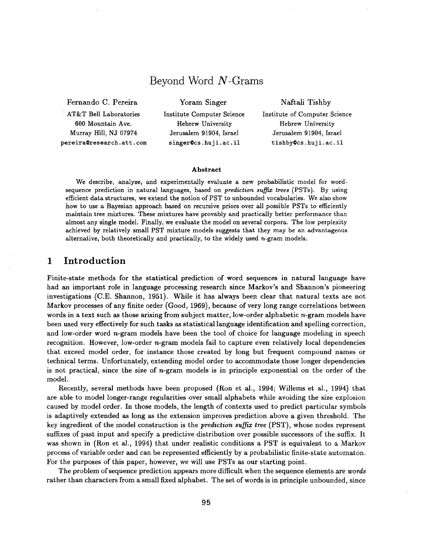# Beyond Word N-Grams

Fernando C. Pereira

Yoram Singer

AT&T Bell Laboratories 600 Mountain Ave. Murray Hill, NJ 07974 pereira@research.att.com Institute Computer Science Hebrew University Jerusalem 91904, Israel singer@cs.huji.ac.il

Naftali Tishby Institute of Computer Science Hebrew University Jerusalem 91904, Israel tishby Ocs. huji.ac. il

#### **Abstract**

We describe, analyze, and experimentally evaluate a new probabilistic model for wordsequence prediction in natural languages, based on *prediction suffix trees* (PSTs). By using efficient data structures, we extend the notion of PST to unbounded vocabularies. We also show how to use a Bayesian approach based on recursive priors over all possible PSTs to efficiently maintain tree mixtures. These mixtures have provably and practically better performance than almost any single model. Finally, we evaluate the model on several corpora. The low perplexity achieved by relatively small PST mixture models suggests that they may be an advantageous alternative, both theoretically and practically, to the widely used  $n$ -gram models.

### **1 Introduction**

Finite-state methods for the statistical prediction of word sequences in natural language have had an important role in language processing research since Markov's and Shannon's pioneering investigations (C.E. Shannon, 1951). While it has always been clear that natural texts are not Markov processes of any finite order (Good, 1969), because of very long range correlations between words in a text such as those arising from subject matter, low-order alphabetic n-gram models have been used very effectively for such tasks as statistical language identification and spelling correction, and low-order word  $n$ -gram models have been the tool of choice for language modeling in speech recognition. However, low-order  $n$ -gram models fail to capture even relatively local dependencies that exceed model order, for instance those created by long but frequent compound names or technical terms. Unfortunately, extending model order to accommodate those longer dependencies is not practical, since the size of  $n$ -gram models is in principle exponential on the order of the model.

Recently, several methods have been proposed (Ron et al., 1994; Willems et al., 1994) that are able to model longer-range regularities over small alphabets while avoiding the size explosion caused by model order. In those models, the length of contexts used to predict particular symbols is adaptively extended as long as the extension improves prediction above a given threshold. The key ingredient of the model construction is the *prediction suffix tree* (PST), whose nodes represent suffixes of past input and specify a predictive distribution over possible successors of the suffix. It was shown in (Ron et al., 1994) that under realistic conditions a PST is equivalent to a Markov process of variable order and can be represented efficiently by a probabilistic finite-state automaton. For the purposes of this paper, however, we will use PSTs as our starting point.

The problem of sequence prediction appears more difficult when the sequence elements are *words*  rather than characters from a small fixed alphabet. The set of words is in principle unbounded, since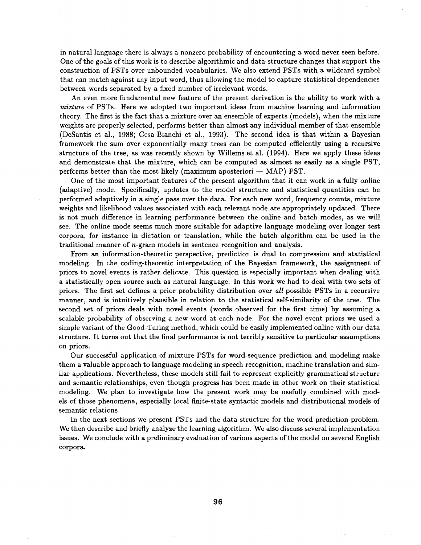in natural language there is always a nonzero probability of encountering a word never seen before. One of the goals of this work is to describe algorithmic and data-structure changes that support the construction of PSTs over unbounded vocabularies. We also extend PSTs with a wildcard symbol that can match against any input word, thus allowing the model to capture statistical dependencies between words separated by a fixed number of irrelevant words.

An even more fundamental new feature of the present derivation is the ability to work with a *mixture* of PSTs. Here we adopted two important ideas from machine learning and information theory. The first is the fact that a mixture over an ensemble of experts (models), when the mixture weights are properly selected, performs better than almost any individual member of that ensemble (DeSantis et al., 1988; Cesa-Bianchi et al., 1993). The second idea is that within a Bayesian framework the sum over exponentially many trees can be computed efficiently using a recursive structure of the tree, as was recently shown by Willems et al. (1994). Here we apply these ideas and demonstrate that the mixture, which can be computed as almost as easily as a single PST, performs better than the most likely (maximum aposteriori  $-$  MAP) PST.

One of the most important features of the present algorithm that it can work in a fully online (adaptive) mode. Specifically, updates to the model structure and statistical quantities can be performed adaptively in a single pass over the data. For each new word, frequency counts, mixture weights and likelihood values associated with each relevant node are appropriately updated. There is not much difference in learning performance between the online and batch modes, as we will see. The online mode seems much more suitable for adaptive language modeling over longer test corpora, for instance in dictation or translation, while the batch algorithm can be used in the traditional manner of n-gram models in sentence recognition and analysis.

From an information-theoretic perspective, prediction is dual to compression and statistical modeling. In the coding-theoretic interpretation of the Bayesian framework, the assignment of priors to novel events is rather delicate. This question is especially important when dealing with a statistically open source such as natural language. In this work we had to deal with two sets of priors. The first set defines a prior probability distribution over *all* possible PSTs in a recursive manner, and is intuitively plausible in relation to the statistical self-similarity of the tree. The second set of priors deals with novel events (words observed for the first time) by assuming a scalable probability of observing a new word at each node. For the novel event priors we used a simple variant of the Good-Turing method, which could be easily implemented online with our data structure. It turns out that the final performance is not terribly sensitive to particular assumptions on priors.

Our successful application of mixture PSTs for word-sequence prediction and modeling make them a valuable approach to language modeling in speech recognition, machine translation and similar applications. Nevertheless, these models still fail to represent explicitly grammatical structure and semantic relationships, even though progress has been made in other work on their statistical modeling. We plan to investigate how the present work may be usefully combined with models of those phenomena, especially local finite-state syntactic models and distributional models of semantic relations.

In the next sections we present PSTs and the data structure for the word prediction problem. We then describe and briefly analyze the learning algorithm. We also discuss several implementation issues. We conclude with a preliminary evaluation of various aspects of the model on several English corpora.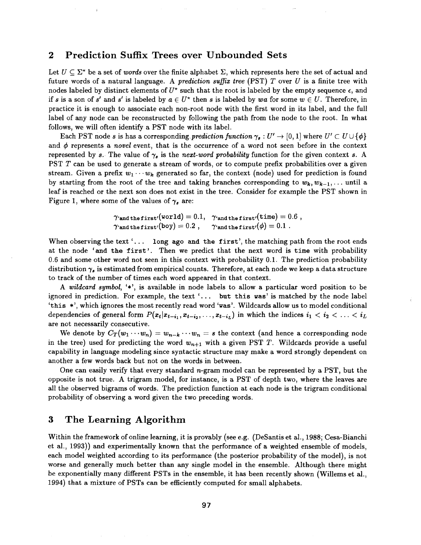#### **2 Prediction Suffix Trees over Unbounded Sets**

i

Let  $U \subseteq \Sigma^*$  be a set of *words* over the finite alphabet  $\Sigma$ , which represents here the set of actual and future words of a natural language. A *prediction suffix tree* (PST) T over U is a finite tree with nodes labeled by distinct elements of  $U^*$  such that the root is labeled by the empty sequence  $\epsilon$ , and if s is a son of s' and s' is labeled by  $a \in U^*$  then s is labeled by wa for some  $w \in U$ . Therefore, in practice it is enough to associate each non-root node with the first word in its label, and the full label of any node can be reconstructed by following the path from the node to the root. In what follows, we will often identify a PST node with its label.

Each PST node s is has a corresponding *prediction function*  $\gamma_s: U' \to [0, 1]$  where  $U' \subset U \cup \{\phi\}$ and  $\phi$  represents a *novel* event, that is the occurrence of a word not seen before in the context represented by s. The value of  $\gamma_s$  is the *next-word probability* function for the given context s. A PST T can be used to generate a stream of words, or to compute prefix probabilities over a given stream. Given a prefix  $w_1 \cdots w_k$  generated so far, the context (node) used for prediction is found by starting from the root of the tree and taking branches corresponding to  $w_k, w_{k-1}, \ldots$  until a leaf is reached or the next son does not exist in the tree. Consider for example the PST shown in Figure 1, where some of the values of  $\gamma_s$  are:

$$
\gamma_{\tt{and\,thefirst'}}(\tt{world})=0.1,\quad \gamma_{\tt{and\,thefirst'}}(\tt{time})=0.6\;,\\ \gamma_{\tt{and\,thefirst'}}(\tt{boy})=0.2\;, \quad \gamma_{\tt{and\,thefirst'}}(\phi)=0.1\;.
$$

When observing the text  $\ldots$  long ago and the first', the matching path from the root ends at the node 'and the first'. Then we predict that the next word is time with probability 0.6 and some other word not seen in this context with probability 0.1. The prediction probability distribution  $\gamma_s$  is estimated from empirical counts. Therefore, at each node we keep a data structure to track of the number of times each word appeared in that context.

*A wildcard symbol,* '\*', is available in node labels to allow a particular word position to be ignored in prediction. For example, the text '... but this was' is matched by the node label 'this \*', which ignores the most recently read word 'was'. Wildcards allow us to model conditional dependencies of general form  $P(x_t|x_{t-i_1}, x_{t-i_2},..., x_{t-i_L})$  in which the indices  $i_1 < i_2 < ... < i_L$ are not necessarily consecutive.

We denote by  $C_T(w_1 \cdots w_n) = w_{n-k} \cdots w_n = s$  the context (and hence a corresponding node in the tree) used for predicting the word  $w_{n+1}$  with a given PST T. Wildcards provide a useful capability in language modeling since syntactic structure may make a word strongly dependent on another a few words back but not on the words in between.

One can easily verify that every standard  $n$ -gram model can be represented by a PST, but the opposite is not true. A trigram model, for instance, is a PST of depth two, where the leaves are all the observed bigrams of words. The prediction function at each node is the trigram conditional probability of observing a word given the two preceding words.

# **3 The Learning Algorithm**

Within the framework of online learning, it is provably (see e.g. (DeSantis et al., 1988; Cesa-Bianchi et al., 1993)) and experimentally known that the performance of a weighted ensemble of models, each model weighted according to its performance (the posterior probability of the model), is not worse and generally much better than any single model in the ensemble. Although there might be exponentially many different PSTs in the ensemble, it has been recently shown (Willems et al., 1994) that a mixture of PSTs can be efficiently computed for small alphabets.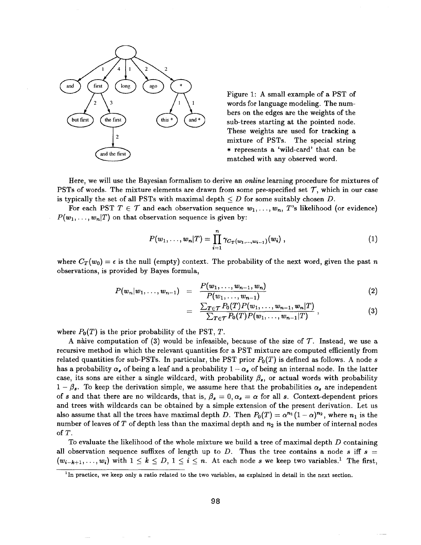

Figure 1: A small example of a PST of words for language modeling. The numbers on the edges are the weights of the sub-trees starting at the pointed node. These weights are used for tracking a mixture of PSTs. The special string \* represents a 'wild-card' that can be matched with any observed word.

Here, we will use the Bayesian formalism to derive an *online* learning procedure for mixtures of PSTs of words. The mixture elements are drawn from some pre-specified set  $\mathcal T$ , which in our case is typically the set of all PSTs with maximal depth  $\leq D$  for some suitably chosen D.

For each PST  $T \in \mathcal{T}$  and each observation sequence  $w_1, \ldots, w_n$ , T's likelihood (or evidence)  $P(w_1, \ldots, w_n|T)$  on that observation sequence is given by:

$$
P(w_1,\ldots,w_n|T)=\prod_{i=1}^n\gamma_{C_T(w_1,\ldots,w_{i-1})}(w_i)\,,\qquad (1)
$$

where  $C_T(w_0) = \epsilon$  is the null (empty) context. The probability of the next word, given the past n observations, is provided by Bayes formula,

$$
P(w_n|w_1,\ldots,w_{n-1}) = \frac{P(w_1,\ldots,w_{n-1},w_n)}{P(w_1,\ldots,w_{n-1})}
$$
\n(2)

$$
= \frac{\sum_{T \in \mathcal{T}} P_0(T) P(w_1, \ldots, w_{n-1}, w_n | T)}{\sum_{T \in \mathcal{T}} P_0(T) P(w_1, \ldots, w_{n-1} | T)}, \qquad (3)
$$

where  $P_0(T)$  is the prior probability of the PST, T.

A naive computation of (3) would be infeasible, because of the size of  $\mathcal T$ . Instead, we use a recursive method in which the relevant quantities for a PST mixture are computed efficiently from related quantities for sub-PSTs. In particular, the PST prior  $P_0(T)$  is defined as follows. A node s has a probability  $\alpha_s$  of being a leaf and a probability  $1 - \alpha_s$  of being an internal node. In the latter case, its sons are either a single wildcard, with probability  $\beta_s$ , or actual words with probability  $1 - \beta_s$ . To keep the derivation simple, we assume here that the probabilities  $\alpha_s$  are independent of s and that there are no wildcards, that is,  $\beta_s = 0$ ,  $\alpha_s = \alpha$  for all s. Context-dependent priors and trees with wildcards can be obtained by a simple extension of the present derivation. Let us also assume that all the trees have maximal depth D. Then  $P_0(T) = \alpha^{n_1} (1 - \alpha)^{n_2}$ , where  $n_1$  is the number of leaves of T of depth less than the maximal depth and  $n_2$  is the number of internal nodes of T.

To evaluate the likelihood of the whole mixture we build a tree of maximal depth  $D$  containing all observation sequence suffixes of length up to D. Thus the tree contains a node s iff  $s =$  $(w_{i-k+1},...,w_i)$  with  $1 \leq k \leq D, 1 \leq i \leq n$ . At each node s we keep two variables.<sup>1</sup> The first,

 $<sup>1</sup>$ In practice, we keep only a ratio related to the two variables, as explained in detail in the next section.</sup>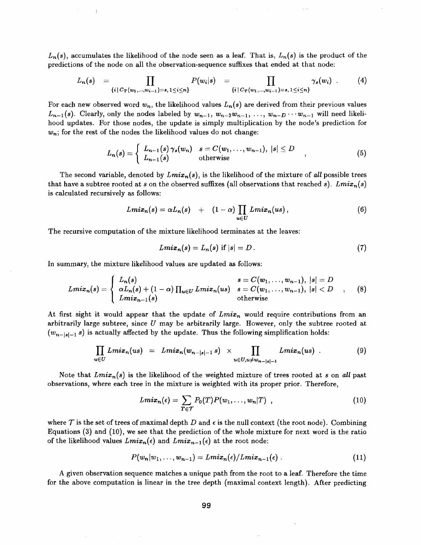$L_n(s)$ , accumulates the likelihood of the node seen as a leaf. That is,  $L_n(s)$  is the product of the predictions of the node on all the observation-sequence suffixes that ended at that node:

$$
L_n(s) = \prod_{\{i \mid C_T(w_1,...,w_{i-1}) = s, 1 \leq i \leq n\}} P(w_i|s) = \prod_{\{i \mid C_T(w_1,...,w_{i-1}) = s, 1 \leq i \leq n\}} \gamma_s(w_i) .
$$
 (4)

For each new observed word  $w_n$ , the likelihood values  $L_n(s)$  are derived from their previous values  $L_{n-1}(s)$ . Clearly, only the nodes labeled by  $w_{n-1}$ ,  $w_{n-2}w_{n-1}$ , ...,  $w_{n-D}\cdots w_{n-1}$  will need likelihood updates. For those nodes, the update is simply multiplication by the node's prediction for  $w_n$ ; for the rest of the nodes the likelihood values do not change:

$$
L_n(s) = \begin{cases} L_{n-1}(s) \gamma_s(w_n) & s = C(w_1, \dots, w_{n-1}), \ |s| \leq D \\ L_{n-1}(s) & \text{otherwise} \end{cases} (5)
$$

The second variable, denoted by  $Lmix_n(s)$ , is the likelihood of the mixture of *all* possible trees that have a subtree rooted at s on the observed suffixes (all observations that reached s).  $Lmix_n(s)$ is calculated recursively as follows:

$$
Lmix_n(s) = \alpha L_n(s) + (1-\alpha) \prod_{u \in U} Lmix_n(us), \qquad (6)
$$

The recursive computation of the mixture likelihood terminates at the leaves:

$$
Lmix_n(s) = L_n(s) \text{ if } |s| = D. \tag{7}
$$

In summary, the mixture likelihood values are updated as follows:

!

$$
Lmix_n(s) = \begin{cases} L_n(s) & s = C(w_1, \ldots, w_{n-1}), \ |s| = D \\ \alpha L_n(s) + (1 - \alpha) \prod_{u \in U} Lmix_n(us) & s = C(w_1, \ldots, w_{n-1}), \ |s| < D \\ Lmix_{n-1}(s) & \text{otherwise} \end{cases} \tag{8}
$$

At first sight it would appear that the update of *Lmix<sub>n</sub>* would require contributions from an arbitrarily large subtree, since  $U$  may be arbitrarily large. However, only the subtree rooted at  $(w_{n-|s|-1} s)$  is actually affected by the update. Thus the following simplification holds:

$$
\prod_{u\in U} Lmix_n(us) = Lmix_n(w_{n-|s|-1} s) \times \prod_{u\in U, u\neq w_{n-|s|-1}} Lmix_n(us) . \qquad (9)
$$

Note that  $Lmix_n(s)$  is the likelihood of the weighted mixture of trees rooted at s on *all* past observations, where each tree in the mixture is weighted with its proper prior. Therefore,

$$
Lmix_n(\epsilon) = \sum_{T \in \mathcal{T}} P_0(T) P(w_1, \ldots, w_n | T) , \qquad (10)
$$

where T is the set of trees of maximal depth D and  $\epsilon$  is the null context (the root node). Combining Equations (3) and (10), we see that the prediction of the whole mixture for next word is the ratio of the likelihood values  $Lmix_n(\epsilon)$  and  $Lmix_{n-1}(\epsilon)$  at the root node:

$$
P(w_n|w_1,\ldots,w_{n-1})=Lmix_n(\epsilon)/Lmix_{n-1}(\epsilon).
$$
\n(11)

A given observation sequence matches a unique path from the root to a leaf. Therefore the time for the above computation is linear in the tree depth (maximal context length). After predicting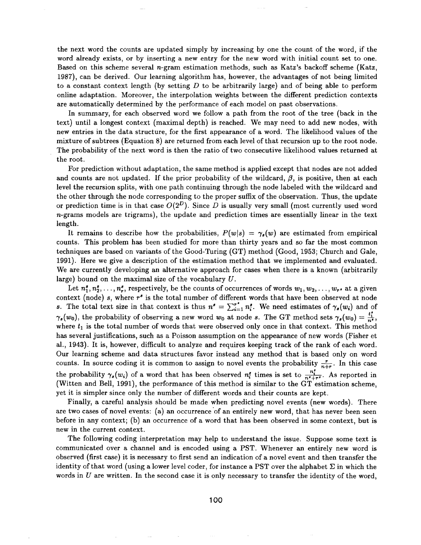the next word the counts are updated simply by increasing by one the count of the word, if the word already exists, or by inserting a new entry for the new word with initial count set to one. Based on this scheme several n-gram estimation methods, such as Katz's backoff scheme (Katz, 1987), can be derived. Our learning algorithm has, however, the advantages of not being limited to a constant context length (by setting  $D$  to be arbitrarily large) and of being able to perform online adaptation. Moreover, the interpolation weights between the different prediction contexts are automatically determined by the performance of each model on past observations.

In summary, for each observed word we follow a path from the root of the tree (back in the text) until a longest context (maximal depth) is reached. We may need to add new nodes, with new entries in the data structure, for the first appearance of a word. The likelihood values of the mixture of subtrees (Equation 8) are returned from each level of that recursion up to the root node. The probability of the next word is then the ratio of two consecutive likelihood values returned at the root.

For prediction without adaptation, the same method is applied except that nodes are not added and counts are not updated. If the prior probability of the wildcard,  $\beta$ , is positive, then at each level the recursion splits, with one path continuing through the node labeled with the wildcard and the other through the node corresponding to the proper suffix of the observation. Thus, the update or prediction time is in that case  $O(2^D)$ . Since D is usually very small (most currently used word  $n$ -grams models are trigrams), the update and prediction times are essentially linear in the text length.

It remains to describe how the probabilities,  $P(w|s) = \gamma_s(w)$  are estimated from empirical counts. This problem has been studied for more than thirty years and so far the most common techniques are based on variants of the Good-Turing (GT) method (Good, 1953; Church and Gale, 1991). Here we give a description of the estimation method that we implemented and evaluated. We are currently developing an alternative approach for cases when there is a known (arbitrarily large) bound on the maximal size of the vocabulary  $U$ .

Let  $n_1^s, n_2^s, \ldots, n_r^s$ , respectively, be the counts of occurrences of words  $w_1, w_2, \ldots, w_{r^s}$  at a given context (node)  $s$ , where  $r'$  is the total number of different words that have been observed at node s. The total text size in that context is thus  $n^s = \sum_{i=1}^{r^s} n_i^s$ . We need estimates of  $\gamma_s(w_i)$  and of  $\gamma_s(w_0)$ , the probability of observing a new word  $w_0$  at node s. The GT method sets  $\gamma_s(w_0) = \frac{t_1^s}{n^s}$ , where  $t_1$  is the total number of words that were observed only once in that context. This method has several justifications, such as a Poisson assumption on the appearance of new words (Fisher et al., 1943). It is, however, difficult to analyze and requires keeping track of the rank of each word. Our learning scheme and data structures favor instead any method that is based only on word counts. In source coding it is common to assign to novel events the probability  $\frac{r}{n+r}$ . In this case the probability  $\gamma_s(w_i)$  of a word that has been observed  $n_i^s$  times is set to  $\frac{n_i^s}{n^s+r^s}$ . As reported in (Witten and Bell, 1991), the performance of this method is similar to the GT estimation scheme, yet it is simpler since only the number of different words and their counts are kept.

Finally, a careful analysis should be made when predicting novel events (new words). There are two cases of novel events: (a) an occurrence of an entirely new word, that has never been seen before in any context; (b) an occurrence of a word that has been observed in some context, but is new in the current context.

The following coding interpretation may help to understand the issue. Suppose some text is communicated over a channel and is encoded using a PST. Whenever an entirely new word is observed (first case) it is necessary to first send an indication of a novel event and then transfer the identity of that word (using a lower level coder, for instance a PST over the alphabet  $\Sigma$  in which the words in U are written. In the second case it is only necessary to transfer the identity of the word,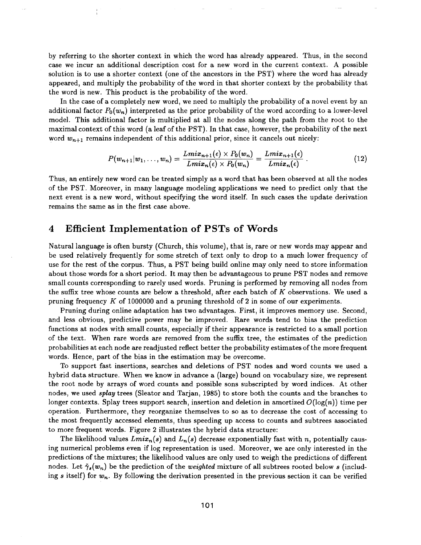by referring to the shorter context in which the word has already appeared. Thus, in the second case we incur an additional description cost for a new word in the current context. A possible solution is to use a shorter context (one of the ancestors in the PST) where the word has already appeared, and multiply the probability of the word in that shorter context by the probability that the word is new. This product is the probability of the word.

In the case of a completely new word, we need to multiply the probability of a novel event by an additional factor  $P_0(w_n)$  interpreted as the prior probability of the word according to a lower-level model. This additional factor is multiplied at all the nodes along the path from the root to the maximal context of this word (a leaf of the PST). In that case, however, the probability of the next word  $w_{n+1}$  remains independent of this additional prior, since it cancels out nicely:

$$
P(w_{n+1}|w_1,\ldots,w_n)=\frac{Lmix_{n+1}(\epsilon)\times P_0(w_n)}{Lmix_n(\epsilon)\times P_0(w_n)}=\frac{Lmix_{n+1}(\epsilon)}{Lmix_n(\epsilon)}\ . \hspace{1.5cm} (12)
$$

Thus, an entirely new word can be treated simply as a word that has been observed at all the nodes of the PST. Moreover, in many language modeling applications we need to predict only that the next event is a new word, without specifying the word itself. In such cases the update derivation remains the same as in the first case above.

### **4 Efficient Implementation of PSTs of Words**

Natural language is often bursty (Church, this volume), that is, rare or new words may appear and be used relatively frequently for some stretch of text only to drop to a much lower frequency of use for the rest of the corpus. Thus, a PST being build online may only need to store information about those words for a short period. It may then be advantageous to prune PST nodes and remove small counts corresponding to rarely used words. Pruning is performed by removing all nodes from the suffix tree whose counts are below a threshold, after each batch of K observations. We used a pruning frequency K of 1000000 and a pruning threshold of 2 in some of our experiments.

Pruning during online adaptation has two advantages. First, it improves memory use. Second, and less obvious, predictive power may be improved. Rare words tend to bias the prediction functions at nodes with small counts, especially if their appearance is restricted to a small portion of the text. When rare words are removed from the suffix tree, the estimates of the prediction probabilities at each node are readjusted reflect better the probability estimates of the more frequent words. Hence, part of the bias in the estimation may be overcome.

To support fast insertions, searches and deletions of PST nodes and word counts we used a hybrid data structure. When we know in advance a (large) bound on vocabulary size, we represent the root node by arrays of word counts and possible sons subscripted by word indices. At other nodes, we used *splay* trees (Sleator and Tarjan, 1985) to store both the counts and the branches to longer contexts. Splay trees support search, insertion and deletion in amortized  $O(\log(n))$  time per operation. Furthermore, they reorganize themselves to so as to decrease the cost of accessing to the most frequently accessed elements, thus speeding up access to counts and subtrees associated to more frequent words. Figure 2 illustrates the hybrid data structure:

The likelihood values  $Lmix_n(s)$  and  $L_n(s)$  decrease exponentially fast with n, potentially causing numerical problems even if log representation is used. Moreover, we are only interested in the predictions of the mixtures; the likelihood values are only used to weigh the predictions of different nodes. Let  $\tilde{\gamma}_{s}(w_{n})$  be the prediction of the *weighted* mixture of all subtrees rooted below s (including s itself) for  $w_n$ . By following the derivation presented in the previous section it can be verified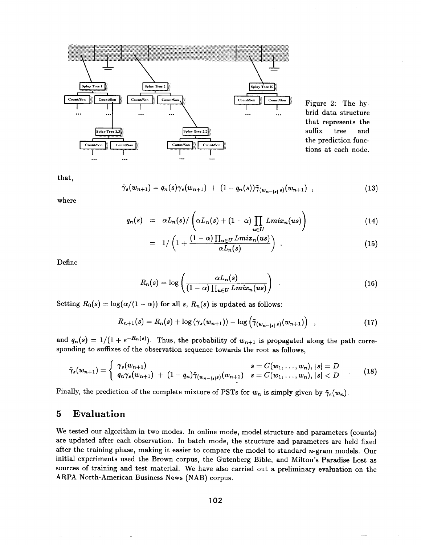

Figure 2: The hybrid data structure that represents the suffix tree and the prediction functions at each node.

that,

$$
\tilde{\gamma}_s(w_{n+1}) = q_n(s)\gamma_s(w_{n+1}) + (1-q_n(s))\tilde{\gamma}_{(w_{n-|s|},s)}(w_{n+1}), \qquad (13)
$$

where

$$
q_n(s) = \alpha L_n(s) / \left( \alpha L_n(s) + (1-\alpha) \prod_{u \in U} Lmix_n(us) \right) \qquad (14)
$$

$$
= 1/\left(1+\frac{(1-\alpha)\prod_{u\in U} Lmix_n(us)}{\alpha L_n(s)}\right) . \hspace{1.5cm} (15)
$$

Define

$$
R_n(s) = \log\left(\frac{\alpha L_n(s)}{(1-\alpha)\prod_{u\in U} Lmix_n(us)}\right) \quad . \tag{16}
$$

Setting  $R_0(s) = \log(\alpha/(1-\alpha))$  for all *s*,  $R_n(s)$  is updated as follows:

$$
R_{n+1}(s) = R_n(s) + \log \left( \gamma_s(w_{n+1}) \right) - \log \left( \tilde{\gamma}_{(w_{n-|s|},s)}(w_{n+1}) \right) , \qquad (17)
$$

and  $q_n(s) = 1/(1 + e^{-R_n(s)})$ . Thus, the probability of  $w_{n+1}$  is propagated along the path corresponding to suffixes of the observation sequence towards the root as follows,

$$
\tilde{\gamma}_s(w_{n+1}) = \begin{cases} \gamma_s(w_{n+1}) & s = C(w_1, \ldots, w_n), \, |s| = D \\ q_n \gamma_s(w_{n+1}) + (1 - q_n) \tilde{\gamma}_{(w_{n-1}s)}(w_{n+1}) & s = C(w_1, \ldots, w_n), \, |s| < D \end{cases} \tag{18}
$$

Finally, the prediction of the complete mixture of PSTs for  $w_n$  is simply given by  $\tilde{\gamma}_{\epsilon}(w_n)$ .

### **5 Evaluation**

We tested our algorithm in two modes. In online mode, model structure and parameters (counts) are updated after each observation. In batch mode, the structure and parameters are held fixed after the training phase, making it easier to compare the model to standard  $n$ -gram models. Our initial experiments used the Brown corpus, the Gutenberg Bible, and Milton's Paradise Lost as sources of training and test material. We have also carried out a preliminary evaluation on the ARPA North-American Business News (NAB) corpus.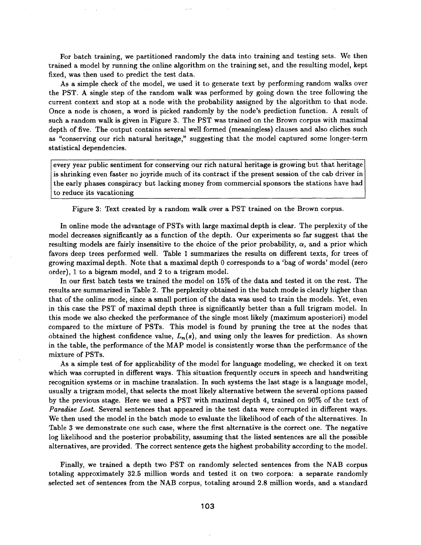For batch training, we partitioned randomly the data into training and testing sets. We then trained a model by running the online algorithm on the training set, and the resulting model, kept fixed, was then used to predict the test data.

As a simple check of the model, we used it to generate text by performing random walks over the PST. A single step of the random walk was performed by going down the tree following the current context and stop at a node with the probability assigned by the algorithm to that node. Once a node is chosen, a word is picked randomly by the node's prediction function. A result of such a random walk is given in Figure 3. The PST was trained on the Brown corpus with maximal depth of five. The output contains several well formed (meaningless) clauses and also cliches such as "conserving our rich natural heritage," suggesting that the model captured some longer-term statistical dependencies.

every year public sentiment for conserving our rich natural heritage is growing but that heritage is shrinking even faster no joyride much of its contract if the present session of the cab driver in the early phases conspiracy but lacking money from commercial sponsors the stations have had to reduce its vacationing

Figure 3: Text created by a random walk over a PST trained on the Brown corpus.

In online mode the advantage of PSTs with large maximal depth is clear. The perplexity of the model decreases significantly as a function of the depth. Our experiments so far suggest that the resulting models are fairly insensitive to the choice of the prior probability,  $\alpha$ , and a prior which favors deep trees performed well. Table 1 summarizes the results on different texts, for trees of growing maximal depth. Note that a maximal depth 0 corresponds to a 'bag of words' model (zero order), 1 to a bigram model, and 2 to a trigram model.

In our first batch tests we trained the model on 15% of the data and tested it on the rest. The results are summarized in Table 2. The perplexity obtained in the batch mode is clearly higher than that of the online mode, since a small portion of the data was used to train the models. Yet, even in this case the PST of maximal depth three is significantly better than a full trigram model. In this mode we also checked the performance of the single most likely (maximum aposteriori) model compared to the mixture of PSTs. This model is found by pruning the tree at the nodes that obtained the highest confidence value, *Ln(s),* and using only the leaves for prediction. As shown in the table, the performance of the MAP model is consistently worse than the performance of the mixture of PSTs.

As a simple test of for applicability of the model for language modeling, we checked it on text which was corrupted in different ways. This situation frequently occurs in speech and handwriting recognition systems or in machine translation. In such systems the last stage is a language model, usually a trigram model, that selects the most likely alternative between the several options passed by the previous; stage. Here we used a PST with maximal depth 4, trained on 90% of the text of *Paradise Lost.* Several sentences that appeared in the test data were corrupted in different ways. We then used the model in the batch mode to evaluate the likelihood of each of the alternatives. In Table 3 we demonstrate one such case, where the first alternative is the correct one. The negative log likelihood and the posterior probability, assuming that the listed sentences are all the possible alternatives, are provided. The correct sentence gets the highest probability according to the model.

Finally, we trained a depth two PST on randomly selected sentences from the NAB corpus totaling approximately 32.5 million words and tested it on two corpora: a separate randomly selected set of sentences from the NAB corpus, totaling around 2.8 million words, and a standard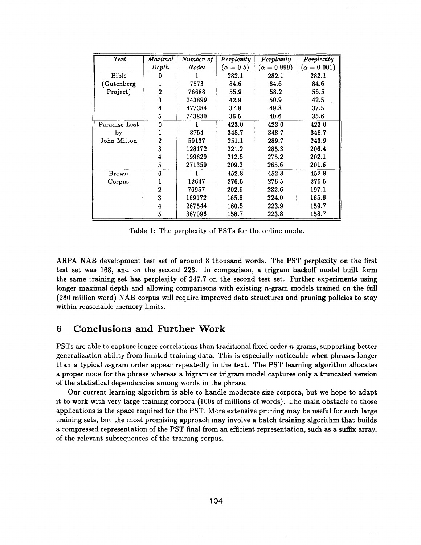| Text          | $\it Maximal$  | Number of    | Perplexity     | Perplexity       | Perplexity         |
|---------------|----------------|--------------|----------------|------------------|--------------------|
|               | Depth          | <b>Nodes</b> | $(\alpha=0.5)$ | $(\alpha=0.999)$ | ( $\alpha=0.001$ ) |
| Bible         | 0              |              | 282.1          | 282.1            | 282.1              |
| (Gutenberg    |                | 7573         | 84.6           | 84.6             | 84.6               |
| Project)      | $\mathbf 2$    | 76688        | 55.9           | 58.2             | 55.5               |
|               | 3              | 243899       | 42.9           | 50.9             | 42.5               |
|               | 4              | 477384       | 37.8           | 49.8             | 37.5               |
|               | 5              | 743830       | 36.5           | 49.6             | 35.6               |
| Paradise Lost | 0              |              | 423.0          | 423.0            | 423.0              |
| by            | 1              | 8754         | 348.7          | 348.7            | 348.7              |
| John Milton   | $\overline{2}$ | 59137        | 251.1          | 289.7            | 243.9              |
|               | 3              | 128172       | 221.2          | 285.3            | 206.4              |
|               | 4              | 199629       | 212.5          | 275.2            | 202.1              |
|               | 5              | 271359       | 209.3          | 265.6            | 201.6              |
| <b>Brown</b>  | $\bf{0}$       |              | 452.8          | 452.8            | 452.8              |
| Corpus        | 1              | 12647        | 276.5          | 276.5            | 276.5              |
|               | $\overline{2}$ | 76957        | 202.9          | 232.6            | 197.1              |
|               | 3              | 169172       | 165.8          | 224.0            | 165.6              |
|               | 4              | 267544       | 160.5          | 223.9            | 159.7              |
|               | 5              | 367096       | 158.7          | 223.8            | 158.7              |

Table 1: The perplexity of PSTs for the online mode.

ARPA NAB development test set of around 8 thousand words. The PST perplexity on the first test set was 168, and on the second 223. In comparison, a trigram backoff model built form the same training set has perplexity of 247.7 on the second test set. Further experiments using longer maximal depth and allowing comparisons with existing  $n$ -gram models trained on the full (280 million word) NAB corpus will require improved data structures and pruning policies to stay within reasonable memory limits.

## **6 Conclusions and Further Work**

PSTs are able to capture longer correlations than traditional fixed order n-grams, supporting better generalization ability from limited training data. This is especially noticeable when phrases longer than a typical n-gram order appear repeatedly in the text. The PST learning algorithm allocates a proper node for the phrase whereas a bigram or trigram model captures only a truncated version of the statistical dependencies among words in the phrase.

Our current learning algorithm is able to handle moderate size corpora, but we hope to adapt it to work with very large training corpora (100s of millions of words). The main obstacle to those applications is the space required for the PST. More extensive pruning may be useful for such large training sets, but the most promising approach may involve a batch training algorithm that builds a compressed representation of the PST final from an efficient representation, such as a suffix array, of the relevant subsequences of the training corpus.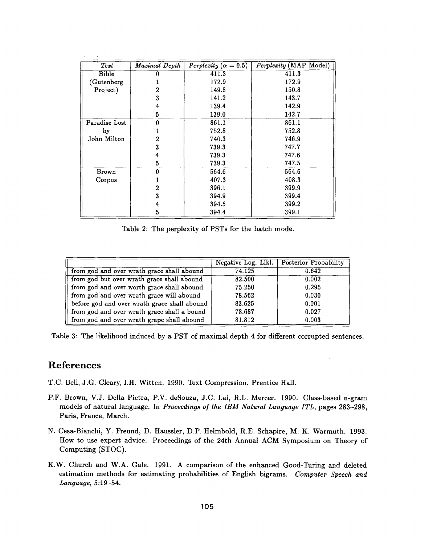| $\mathit{Text}$ | Maximal Depth | Perplexity ( $\alpha = 0.5$ ) | Perplexity (MAP Model) |
|-----------------|---------------|-------------------------------|------------------------|
| Bible           |               | 411.3                         | 411.3                  |
| (Gutenberg)     |               | 172.9                         | 172.9                  |
| Project)        | 2             | 149.8                         | 150.8                  |
|                 | 3             | 141.2                         | 143.7                  |
|                 | 4             | 139.4                         | 142.9                  |
|                 | 5             | 139.0                         | 142.7                  |
| Paradise Lost   | 0             | 861.1                         | 861.1                  |
| by              |               | 752.8                         | 752.8                  |
| John Milton     | 2             | 740.3                         | 746.9                  |
|                 | 3             | 739.3                         | 747.7                  |
|                 | 4             | 739.3                         | 747.6                  |
|                 | 5             | 739.3                         | 747.5                  |
| Brown           | 0             | 564.6                         | 564.6                  |
| Corpus          |               | 407.3                         | 408.3                  |
|                 | $\bf{2}$      | 396.1                         | 399.9                  |
|                 | 3             | 394.9                         | 399.4                  |
|                 | 4             | 394.5                         | 399.2                  |
|                 | 5             | 394.4                         | 399.1                  |

Table 2: The perplexity of PSTs for the batch mode.

|                                              |        | Negative Log. Likl. Posterior Probability |
|----------------------------------------------|--------|-------------------------------------------|
| from god and over wrath grace shall abound   | 74.125 | 0.642                                     |
| from god but over wrath grace shall abound   | 82.500 | 0.002                                     |
| from god and over worth grace shall abound   | 75.250 | 0.295                                     |
| from god and over wrath grace will abound    | 78.562 | 0.030                                     |
| before god and over wrath grace shall abound | 83.625 | 0.001                                     |
| from god and over wrath grace shall a bound  | 78.687 | 0.027                                     |
| from god and over wrath grape shall abound   | 81.812 | 0.003                                     |

Table 3: The likelihood induced by a PST of maximal depth 4 for different corrupted sentences.

## **References**

- T.C. Bell, J.G. Cleary, I.H. Witten. 1990. Text Compression. Prentice Hall.
- P.F. Brown, V.J. Della Pietra, P.V. deSouza, J.C. Lai, R.L. Mercer. 1990. Class-based n-gram models of natural language. In *Proceedings of the IBM Natural Language ITL,* pages 283-298, Paris, France, March.
- N. Cesa-Bianchi, Y. Freund, D. Haussler, D.P. Helmbold, R.E. Schapire, M. K. Warmuth. 1993. How to use expert advice. Proceedings of the 24th Annual ACM Symposium on Theory of Computing (STOC).
- K.W. Church and W.A. Gale. 1991. A comparison of the enhanced Good-Turing and deleted estimation methods for estimating probabilities of English bigrams. *Computer Speech and Language,* 5:19-54.